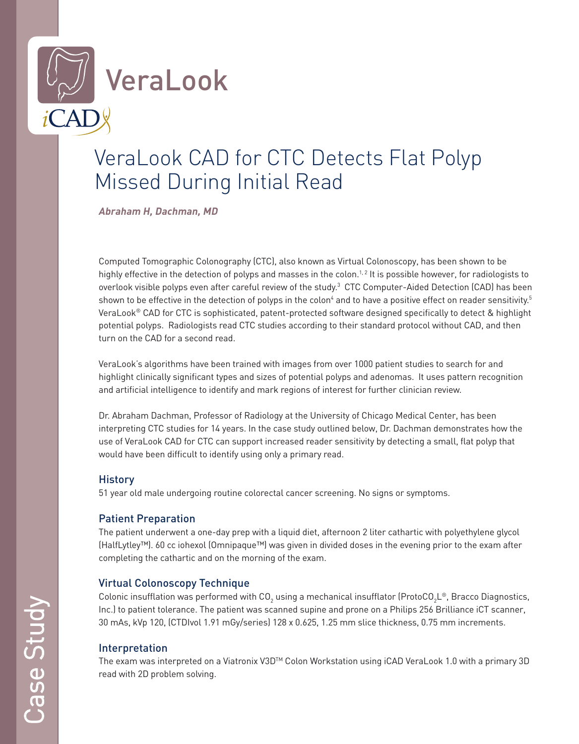

# VeraLook CAD for CTC Detects Flat Polyp Missed During Initial Read

**Abraham H, Dachman, MD**

Computed Tomographic Colonography (CTC), also known as Virtual Colonoscopy, has been shown to be highly effective in the detection of polyps and masses in the colon.<sup>1,2</sup> It is possible however, for radiologists to overlook visible polyps even after careful review of the study.<sup>3</sup> CTC Computer-Aided Detection (CAD) has been shown to be effective in the detection of polyps in the colon<sup>4</sup> and to have a positive effect on reader sensitivity.<sup>5</sup> VeraLook® CAD for CTC is sophisticated, patent-protected software designed specifically to detect & highlight potential polyps. Radiologists read CTC studies according to their standard protocol without CAD, and then turn on the CAD for a second read.

VeraLook's algorithms have been trained with images from over 1000 patient studies to search for and highlight clinically significant types and sizes of potential polyps and adenomas. It uses pattern recognition and artificial intelligence to identify and mark regions of interest for further clinician review.

Dr. Abraham Dachman, Professor of Radiology at the University of Chicago Medical Center, has been interpreting CTC studies for 14 years. In the case study outlined below, Dr. Dachman demonstrates how the use of VeraLook CAD for CTC can support increased reader sensitivity by detecting a small, flat polyp that would have been difficult to identify using only a primary read.

### **History**

51 year old male undergoing routine colorectal cancer screening. No signs or symptoms.

## Patient Preparation

The patient underwent a one-day prep with a liquid diet, afternoon 2 liter cathartic with polyethylene glycol (HalfLytley™). 60 cc iohexol (Omnipaque™) was given in divided doses in the evening prior to the exam after completing the cathartic and on the morning of the exam.

## Virtual Colonoscopy Technique

Colonic insufflation was performed with CO<sub>2</sub> using a mechanical insufflator (ProtoCO<sub>2</sub>L®, Bracco Diagnostics, Inc.) to patient tolerance. The patient was scanned supine and prone on a Philips 256 Brilliance iCT scanner, 30 mAs, kVp 120, (CTDIvol 1.91 mGy/series) 128 x 0.625, 1.25 mm slice thickness, 0.75 mm increments.

### Interpretation

The exam was interpreted on a Viatronix V3D™ Colon Workstation using iCAD VeraLook 1.0 with a primary 3D read with 2D problem solving.